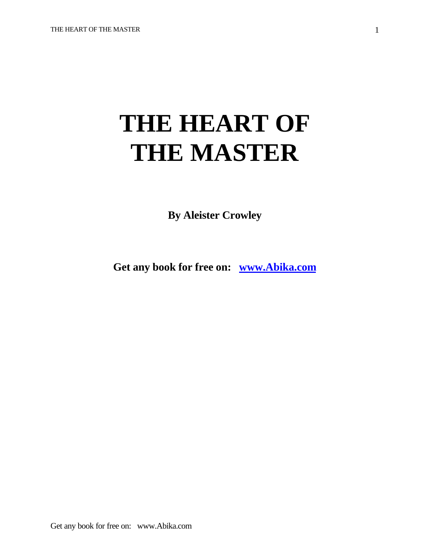# **THE HEART OF THE MASTER**

**By Aleister Crowley**

**Get any book for free on: www.Abika.com**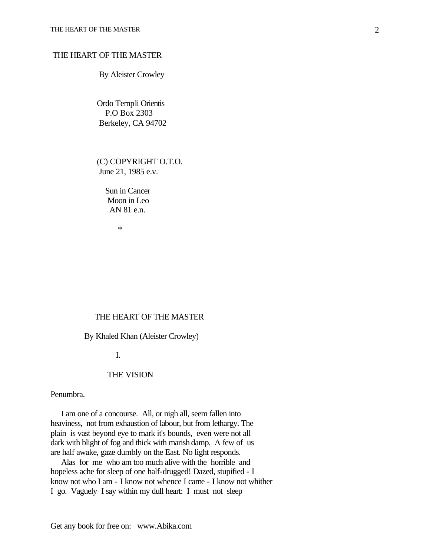# THE HEART OF THE MASTER

By Aleister Crowley

 Ordo Templi Orientis P.O Box 2303 Berkeley, CA 94702

 (C) COPYRIGHT O.T.O. June 21, 1985 e.v.

 Sun in Cancer Moon in Leo AN 81 e.n.

\*\*\*\*\*\*\*\*\*\*\*\*\*\*\*\*

#### THE HEART OF THE MASTER

By Khaled Khan (Aleister Crowley)

## I.

### THE VISION

## Penumbra.

 I am one of a concourse. All, or nigh all, seem fallen into heaviness, not from exhaustion of labour, but from lethargy. The plain is vast beyond eye to mark it's bounds, even were not all dark with blight of fog and thick with marish damp. A few of us are half awake, gaze dumbly on the East. No light responds.

 Alas for me who am too much alive with the horrible and hopeless ache for sleep of one half-drugged! Dazed, stupified - I know not who I am - I know not whence I came - I know not whither I go. Vaguely I say within my dull heart: I must not sleep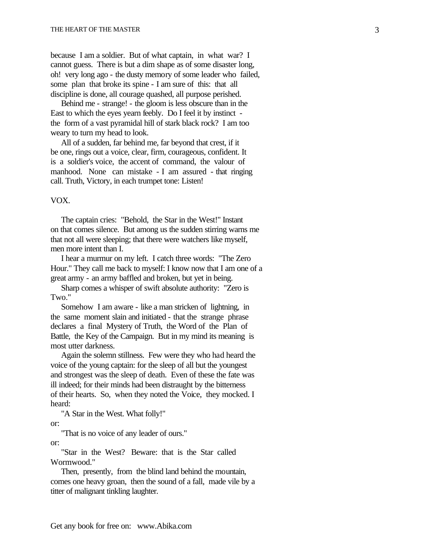because I am a soldier. But of what captain, in what war? I cannot guess. There is but a dim shape as of some disaster long, oh! very long ago - the dusty memory of some leader who failed, some plan that broke its spine - I am sure of this: that all discipline is done, all courage quashed, all purpose perished.

 Behind me - strange! - the gloom is less obscure than in the East to which the eyes yearn feebly. Do I feel it by instinct the form of a vast pyramidal hill of stark black rock? I am too weary to turn my head to look.

 All of a sudden, far behind me, far beyond that crest, if it be one, rings out a voice, clear, firm, courageous, confident. It is a soldier's voice, the accent of command, the valour of manhood. None can mistake - I am assured - that ringing call. Truth, Victory, in each trumpet tone: Listen!

#### VOX.

 The captain cries: "Behold, the Star in the West!" Instant on that comes silence. But among us the sudden stirring warns me that not all were sleeping; that there were watchers like myself, men more intent than I.

 I hear a murmur on my left. I catch three words: "The Zero Hour." They call me back to myself: I know now that I am one of a great army - an army baffled and broken, but yet in being.

 Sharp comes a whisper of swift absolute authority: "Zero is Two."

 Somehow I am aware - like a man stricken of lightning, in the same moment slain and initiated - that the strange phrase declares a final Mystery of Truth, the Word of the Plan of Battle, the Key of the Campaign. But in my mind its meaning is most utter darkness.

 Again the solemn stillness. Few were they who had heard the voice of the young captain: for the sleep of all but the youngest and strongest was the sleep of death. Even of these the fate was ill indeed; for their minds had been distraught by the bitterness of their hearts. So, when they noted the Voice, they mocked. I heard:

"A Star in the West. What folly!"

or:

"That is no voice of any leader of ours."

or:

 "Star in the West? Beware: that is the Star called Wormwood."

 Then, presently, from the blind land behind the mountain, comes one heavy groan, then the sound of a fall, made vile by a titter of malignant tinkling laughter.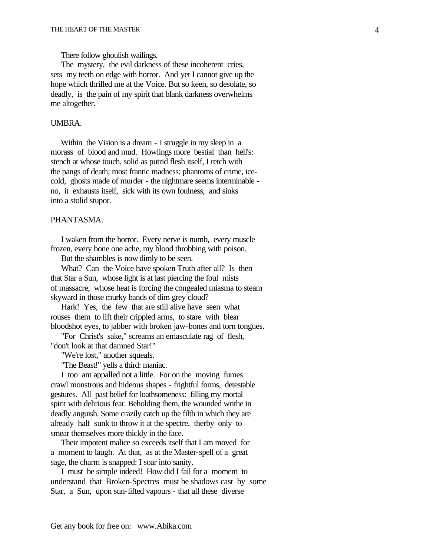There follow ghoulish wailings.

 The mystery, the evil darkness of these incoherent cries, sets my teeth on edge with horror. And yet I cannot give up the hope which thrilled me at the Voice. But so keen, so desolate, so deadly, is the pain of my spirit that blank darkness overwhelms me altogether.

## UMBRA.

 Within the Vision is a dream - I struggle in my sleep in a morass of blood and mud. Howlings more bestial than hell's: stench at whose touch, solid as putrid flesh itself, I retch with the pangs of death; most frantic madness: phantoms of crime, icecold, ghosts made of murder - the nightmare seems interminable no, it exhausts itself, sick with its own foulness, and sinks into a stolid stupor.

## PHANTASMA.

 I waken from the horror. Every nerve is numb, every muscle frozen, every bone one ache, my blood throbbing with poison.

But the shambles is now dimly to be seen.

 What? Can the Voice have spoken Truth after all? Is then that Star a Sun, whose light is at last piercing the foul mists of massacre, whose heat is forcing the congealed miasma to steam skyward in those murky bands of dim grey cloud?

 Hark! Yes, the few that are still alive have seen what rouses them to lift their crippled arms, to stare with blear bloodshot eyes, to jabber with broken jaw-bones and torn tongues.

 "For Christ's sake," screams an emasculate rag of flesh, "don't look at that damned Star!"

"We're lost," another squeals.

"The Beast!" yells a third: maniac.

 I too am appalled not a little. For on the moving fumes crawl monstrous and hideous shapes - frightful forms, detestable gestures. All past belief for loathsomeness: filling my mortal spirit with delirious fear. Beholding them, the wounded writhe in deadly anguish. Some crazily catch up the filth in which they are already half sunk to throw it at the spectre, therby only to smear themselves more thickly in the face.

 Their impotent malice so exceeds itself that I am moved for a moment to laugh. At that, as at the Master-spell of a great sage, the charm is snapped: I soar into sanity.

 I must be simple indeed! How did I fail for a moment to understand that Broken-Spectres must be shadows cast by some Star, a Sun, upon sun-lifted vapours - that all these diverse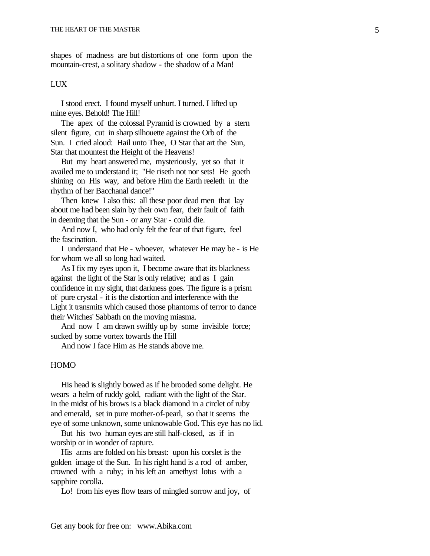shapes of madness are but distortions of one form upon the mountain-crest, a solitary shadow - the shadow of a Man!

#### LUX

 I stood erect. I found myself unhurt. I turned. I lifted up mine eyes. Behold! The Hill!

 The apex of the colossal Pyramid is crowned by a stern silent figure, cut in sharp silhouette against the Orb of the Sun. I cried aloud: Hail unto Thee, O Star that art the Sun, Star that mountest the Height of the Heavens!

 But my heart answered me, mysteriously, yet so that it availed me to understand it; "He riseth not nor sets! He goeth shining on His way, and before Him the Earth reeleth in the rhythm of her Bacchanal dance!"

 Then knew I also this: all these poor dead men that lay about me had been slain by their own fear, their fault of faith in deeming that the Sun - or any Star - could die.

 And now I, who had only felt the fear of that figure, feel the fascination.

 I understand that He - whoever, whatever He may be - is He for whom we all so long had waited.

 As I fix my eyes upon it, I become aware that its blackness against the light of the Star is only relative; and as I gain confidence in my sight, that darkness goes. The figure is a prism of pure crystal - it is the distortion and interference with the Light it transmits which caused those phantoms of terror to dance their Witches' Sabbath on the moving miasma.

And now I am drawn swiftly up by some invisible force; sucked by some vortex towards the Hill

And now I face Him as He stands above me.

#### HOMO

 His head is slightly bowed as if he brooded some delight. He wears a helm of ruddy gold, radiant with the light of the Star. In the midst of his brows is a black diamond in a circlet of ruby and emerald, set in pure mother-of-pearl, so that it seems the eye of some unknown, some unknowable God. This eye has no lid.

 But his two human eyes are still half-closed, as if in worship or in wonder of rapture.

 His arms are folded on his breast: upon his corslet is the golden image of the Sun. In his right hand is a rod of amber, crowned with a ruby; in his left an amethyst lotus with a sapphire corolla.

Lo! from his eyes flow tears of mingled sorrow and joy, of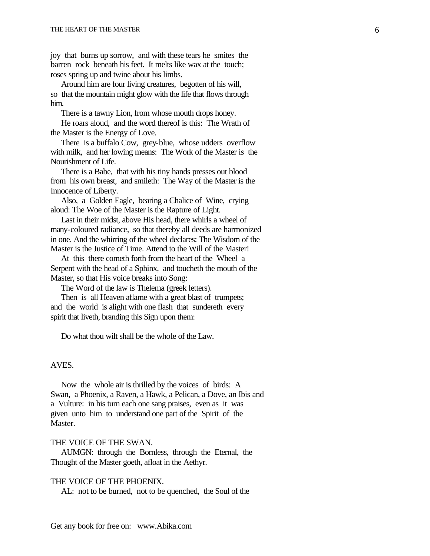joy that burns up sorrow, and with these tears he smites the barren rock beneath his feet. It melts like wax at the touch; roses spring up and twine about his limbs.

 Around him are four living creatures, begotten of his will, so that the mountain might glow with the life that flows through him.

There is a tawny Lion, from whose mouth drops honey.

 He roars aloud, and the word thereof is this: The Wrath of the Master is the Energy of Love.

 There is a buffalo Cow, grey-blue, whose udders overflow with milk, and her lowing means: The Work of the Master is the Nourishment of Life.

 There is a Babe, that with his tiny hands presses out blood from his own breast, and smileth: The Way of the Master is the Innocence of Liberty.

 Also, a Golden Eagle, bearing a Chalice of Wine, crying aloud: The Woe of the Master is the Rapture of Light.

 Last in their midst, above His head, there whirls a wheel of many-coloured radiance, so that thereby all deeds are harmonized in one. And the whirring of the wheel declares: The Wisdom of the Master is the Justice of Time. Attend to the Will of the Master!

 At this there cometh forth from the heart of the Wheel a Serpent with the head of a Sphinx, and toucheth the mouth of the Master, so that His voice breaks into Song:

The Word of the law is Thelema (greek letters).

 Then is all Heaven aflame with a great blast of trumpets; and the world is alight with one flash that sundereth every spirit that liveth, branding this Sign upon them:

Do what thou wilt shall be the whole of the Law.

#### AVES.

 Now the whole air is thrilled by the voices of birds: A Swan, a Phoenix, a Raven, a Hawk, a Pelican, a Dove, an Ibis and a Vulture: in his turn each one sang praises, even as it was given unto him to understand one part of the Spirit of the Master.

## THE VOICE OF THE SWAN.

 AUMGN: through the Bornless, through the Eternal, the Thought of the Master goeth, afloat in the Aethyr.

#### THE VOICE OF THE PHOENIX.

AL: not to be burned, not to be quenched, the Soul of the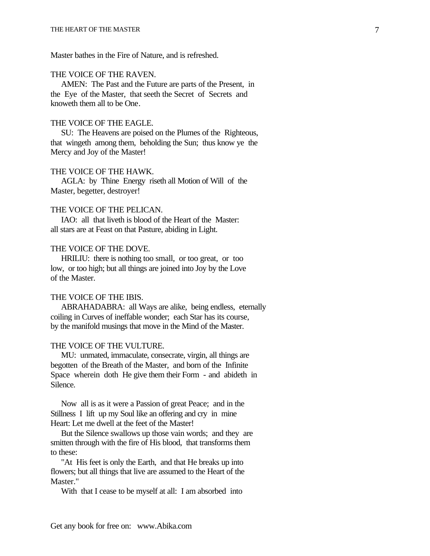Master bathes in the Fire of Nature, and is refreshed.

## THE VOICE OF THE RAVEN.

 AMEN: The Past and the Future are parts of the Present, in the Eye of the Master, that seeth the Secret of Secrets and knoweth them all to be One.

## THE VOICE OF THE EAGLE.

 SU: The Heavens are poised on the Plumes of the Righteous, that wingeth among them, beholding the Sun; thus know ye the Mercy and Joy of the Master!

#### THE VOICE OF THE HAWK.

 AGLA: by Thine Energy riseth all Motion of Will of the Master, begetter, destroyer!

## THE VOICE OF THE PELICAN.

 IAO: all that liveth is blood of the Heart of the Master: all stars are at Feast on that Pasture, abiding in Light.

## THE VOICE OF THE DOVE.

 HRILIU: there is nothing too small, or too great, or too low, or too high; but all things are joined into Joy by the Love of the Master.

## THE VOICE OF THE IBIS.

 ABRAHADABRA: all Ways are alike, being endless, eternally coiling in Curves of ineffable wonder; each Star has its course, by the manifold musings that move in the Mind of the Master.

#### THE VOICE OF THE VULTURE.

 MU: unmated, immaculate, consecrate, virgin, all things are begotten of the Breath of the Master, and born of the Infinite Space wherein doth He give them their Form - and abideth in Silence.

 Now all is as it were a Passion of great Peace; and in the Stillness I lift up my Soul like an offering and cry in mine Heart: Let me dwell at the feet of the Master!

 But the Silence swallows up those vain words; and they are smitten through with the fire of His blood, that transforms them to these:

 "At His feet is only the Earth, and that He breaks up into flowers; but all things that live are assumed to the Heart of the Master."

With that I cease to be myself at all: I am absorbed into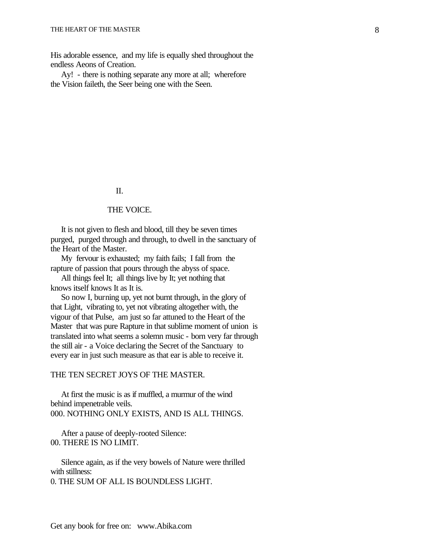His adorable essence, and my life is equally shed throughout the endless Aeons of Creation.

 Ay! - there is nothing separate any more at all; wherefore the Vision faileth, the Seer being one with the Seen.

## II.

#### THE VOICE.

 It is not given to flesh and blood, till they be seven times purged, purged through and through, to dwell in the sanctuary of the Heart of the Master.

 My fervour is exhausted; my faith fails; I fall from the rapture of passion that pours through the abyss of space.

 All things feel It; all things live by It; yet nothing that knows itself knows It as It is.

 So now I, burning up, yet not burnt through, in the glory of that Light, vibrating to, yet not vibrating altogether with, the vigour of that Pulse, am just so far attuned to the Heart of the Master that was pure Rapture in that sublime moment of union is translated into what seems a solemn music - born very far through the still air - a Voice declaring the Secret of the Sanctuary to every ear in just such measure as that ear is able to receive it.

#### THE TEN SECRET JOYS OF THE MASTER.

 At first the music is as if muffled, a murmur of the wind behind impenetrable veils. 000. NOTHING ONLY EXISTS, AND IS ALL THINGS.

 After a pause of deeply-rooted Silence: 00. THERE IS NO LIMIT.

 Silence again, as if the very bowels of Nature were thrilled with stillness:

0. THE SUM OF ALL IS BOUNDLESS LIGHT.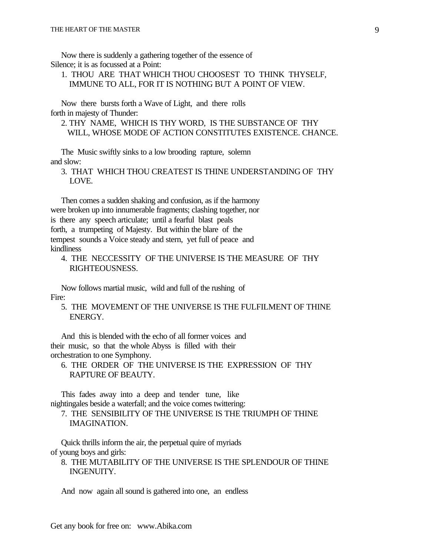Now there is suddenly a gathering together of the essence of Silence; it is as focussed at a Point:

 1. THOU ARE THAT WHICH THOU CHOOSEST TO THINK THYSELF, IMMUNE TO ALL, FOR IT IS NOTHING BUT A POINT OF VIEW.

 Now there bursts forth a Wave of Light, and there rolls forth in majesty of Thunder:

# 2. THY NAME, WHICH IS THY WORD, IS THE SUBSTANCE OF THY WILL, WHOSE MODE OF ACTION CONSTITUTES EXISTENCE. CHANCE.

 The Music swiftly sinks to a low brooding rapture, solemn and slow:

# 3. THAT WHICH THOU CREATEST IS THINE UNDERSTANDING OF THY LOVE.

 Then comes a sudden shaking and confusion, as if the harmony were broken up into innumerable fragments; clashing together, nor is there any speech articulate; until a fearful blast peals forth, a trumpeting of Majesty. But within the blare of the tempest sounds a Voice steady and stern, yet full of peace and kindliness

# 4. THE NECCESSITY OF THE UNIVERSE IS THE MEASURE OF THY RIGHTEOUSNESS.

 Now follows martial music, wild and full of the rushing of Fire:

 5. THE MOVEMENT OF THE UNIVERSE IS THE FULFILMENT OF THINE ENERGY.

 And this is blended with the echo of all former voices and their music, so that the whole Abyss is filled with their orchestration to one Symphony.

 6. THE ORDER OF THE UNIVERSE IS THE EXPRESSION OF THY RAPTURE OF BEAUTY.

 This fades away into a deep and tender tune, like nightingales beside a waterfall; and the voice comes twittering:

# 7. THE SENSIBILITY OF THE UNIVERSE IS THE TRIUMPH OF THINE IMAGINATION.

 Quick thrills inform the air, the perpetual quire of myriads of young boys and girls:

 8. THE MUTABILITY OF THE UNIVERSE IS THE SPLENDOUR OF THINE INGENUITY.

And now again all sound is gathered into one, an endless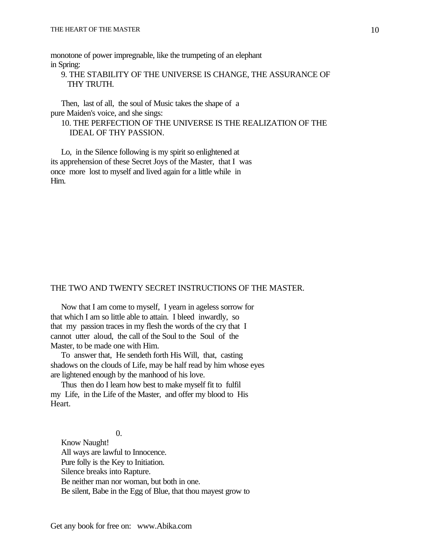monotone of power impregnable, like the trumpeting of an elephant in Spring:

# 9. THE STABILITY OF THE UNIVERSE IS CHANGE, THE ASSURANCE OF THY TRUTH.

 Then, last of all, the soul of Music takes the shape of a pure Maiden's voice, and she sings:

# 10. THE PERFECTION OF THE UNIVERSE IS THE REALIZATION OF THE IDEAL OF THY PASSION.

 Lo, in the Silence following is my spirit so enlightened at its apprehension of these Secret Joys of the Master, that I was once more lost to myself and lived again for a little while in Him.

## THE TWO AND TWENTY SECRET INSTRUCTIONS OF THE MASTER.

 Now that I am come to myself, I yearn in ageless sorrow for that which I am so little able to attain. I bleed inwardly, so that my passion traces in my flesh the words of the cry that I cannot utter aloud, the call of the Soul to the Soul of the Master, to be made one with Him.

 To answer that, He sendeth forth His Will, that, casting shadows on the clouds of Life, may be half read by him whose eyes are lightened enough by the manhood of his love.

 Thus then do I learn how best to make myself fit to fulfil my Life, in the Life of the Master, and offer my blood to His Heart.

0.

 Know Naught! All ways are lawful to Innocence. Pure folly is the Key to Initiation. Silence breaks into Rapture. Be neither man nor woman, but both in one. Be silent, Babe in the Egg of Blue, that thou mayest grow to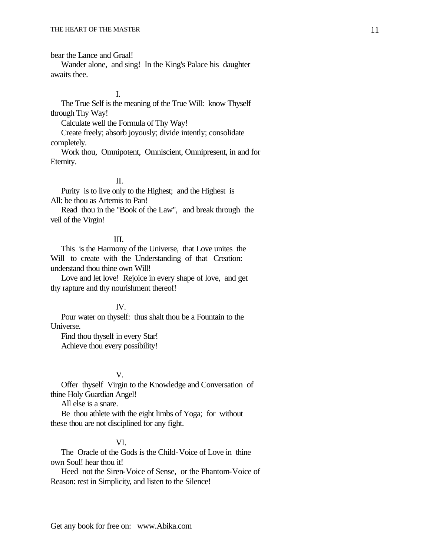bear the Lance and Graal!

 Wander alone, and sing! In the King's Palace his daughter awaits thee.

# I.

 The True Self is the meaning of the True Will: know Thyself through Thy Way!

Calculate well the Formula of Thy Way!

 Create freely; absorb joyously; divide intently; consolidate completely.

 Work thou, Omnipotent, Omniscient, Omnipresent, in and for Eternity.

## II.

 Purity is to live only to the Highest; and the Highest is All: be thou as Artemis to Pan!

 Read thou in the "Book of the Law", and break through the veil of the Virgin!

#### III.

 This is the Harmony of the Universe, that Love unites the Will to create with the Understanding of that Creation: understand thou thine own Will!

 Love and let love! Rejoice in every shape of love, and get thy rapture and thy nourishment thereof!

## IV.

 Pour water on thyself: thus shalt thou be a Fountain to the Universe.

 Find thou thyself in every Star! Achieve thou every possibility!

# V.

 Offer thyself Virgin to the Knowledge and Conversation of thine Holy Guardian Angel!

All else is a snare.

 Be thou athlete with the eight limbs of Yoga; for without these thou are not disciplined for any fight.

## VI.

 The Oracle of the Gods is the Child-Voice of Love in thine own Soul! hear thou it!

 Heed not the Siren-Voice of Sense, or the Phantom-Voice of Reason: rest in Simplicity, and listen to the Silence!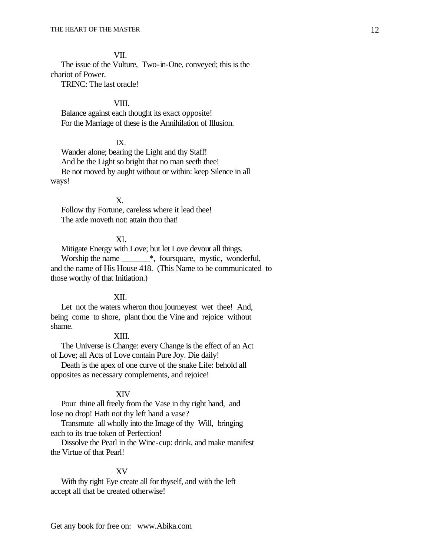#### VII.

 The issue of the Vulture, Two-in-One, conveyed; this is the chariot of Power. TRINC: The last oracle!

 Balance against each thought its exact opposite! For the Marriage of these is the Annihilation of Illusion.

# IX.

VIII.

 Wander alone; bearing the Light and thy Staff! And be the Light so bright that no man seeth thee! Be not moved by aught without or within: keep Silence in all ways!

X.

 Follow thy Fortune, careless where it lead thee! The axle moveth not: attain thou that!

# XI.

 Mitigate Energy with Love; but let Love devour all things. Worship the name \_\_\_\_\_\_\_\_\*, foursquare, mystic, wonderful, and the name of His House 418. (This Name to be communicated to those worthy of that Initiation.)

#### XII.

 Let not the waters wheron thou journeyest wet thee! And, being come to shore, plant thou the Vine and rejoice without shame.

## XIII.

 The Universe is Change: every Change is the effect of an Act of Love; all Acts of Love contain Pure Joy. Die daily!

 Death is the apex of one curve of the snake Life: behold all opposites as necessary complements, and rejoice!

## XIV

 Pour thine all freely from the Vase in thy right hand, and lose no drop! Hath not thy left hand a vase?

 Transmute all wholly into the Image of thy Will, bringing each to its true token of Perfection!

 Dissolve the Pearl in the Wine-cup: drink, and make manifest the Virtue of that Pearl!

#### XV

 With thy right Eye create all for thyself, and with the left accept all that be created otherwise!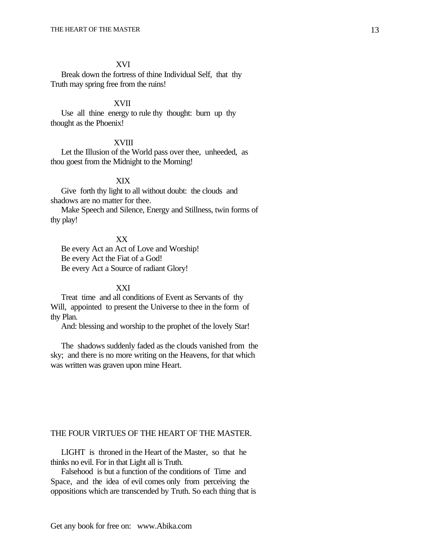#### XVI

 Break down the fortress of thine Individual Self, that thy Truth may spring free from the ruins!

# XVII

 Use all thine energy to rule thy thought: burn up thy thought as the Phoenix!

## XVIII

 Let the Illusion of the World pass over thee, unheeded, as thou goest from the Midnight to the Morning!

## XIX

 Give forth thy light to all without doubt: the clouds and shadows are no matter for thee.

 Make Speech and Silence, Energy and Stillness, twin forms of thy play!

#### XX

 Be every Act an Act of Love and Worship! Be every Act the Fiat of a God! Be every Act a Source of radiant Glory!

#### XXI

 Treat time and all conditions of Event as Servants of thy Will, appointed to present the Universe to thee in the form of thy Plan.

And: blessing and worship to the prophet of the lovely Star!

 The shadows suddenly faded as the clouds vanished from the sky; and there is no more writing on the Heavens, for that which was written was graven upon mine Heart.

# THE FOUR VIRTUES OF THE HEART OF THE MASTER.

 LIGHT is throned in the Heart of the Master, so that he thinks no evil. For in that Light all is Truth.

 Falsehood is but a function of the conditions of Time and Space, and the idea of evil comes only from perceiving the oppositions which are transcended by Truth. So each thing that is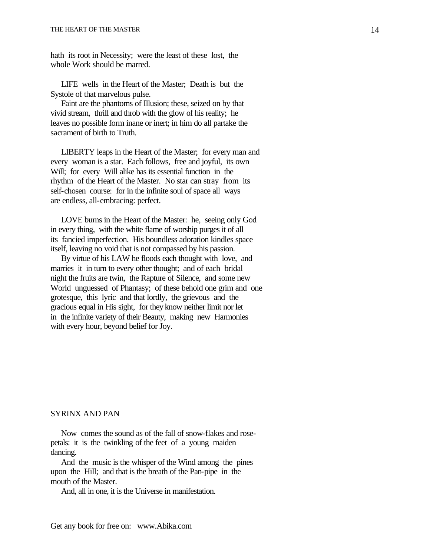hath its root in Necessity; were the least of these lost, the whole Work should be marred.

 LIFE wells in the Heart of the Master; Death is but the Systole of that marvelous pulse.

 Faint are the phantoms of Illusion; these, seized on by that vivid stream, thrill and throb with the glow of his reality; he leaves no possible form inane or inert; in him do all partake the sacrament of birth to Truth.

 LIBERTY leaps in the Heart of the Master; for every man and every woman is a star. Each follows, free and joyful, its own Will; for every Will alike has its essential function in the rhythm of the Heart of the Master. No star can stray from its self-chosen course: for in the infinite soul of space all ways are endless, all-embracing: perfect.

 LOVE burns in the Heart of the Master: he, seeing only God in every thing, with the white flame of worship purges it of all its fancied imperfection. His boundless adoration kindles space itself, leaving no void that is not compassed by his passion.

 By virtue of his LAW he floods each thought with love, and marries it in turn to every other thought; and of each bridal night the fruits are twin, the Rapture of Silence, and some new World unguessed of Phantasy; of these behold one grim and one grotesque, this lyric and that lordly, the grievous and the gracious equal in His sight, for they know neither limit nor let in the infinite variety of their Beauty, making new Harmonies with every hour, beyond belief for Joy.

#### SYRINX AND PAN

 Now comes the sound as of the fall of snow-flakes and rosepetals: it is the twinkling of the feet of a young maiden dancing.

 And the music is the whisper of the Wind among the pines upon the Hill; and that is the breath of the Pan-pipe in the mouth of the Master.

And, all in one, it is the Universe in manifestation.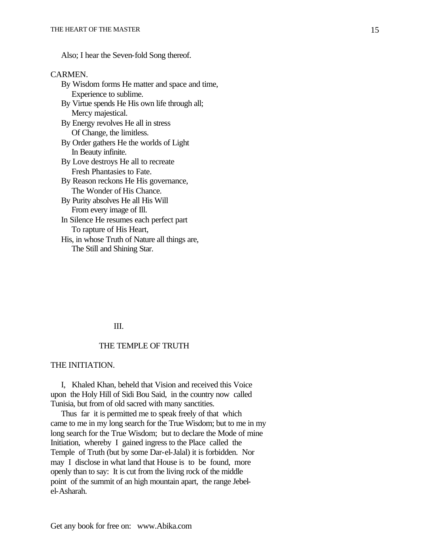Also; I hear the Seven-fold Song thereof.

#### CARMEN.

 By Wisdom forms He matter and space and time, Experience to sublime. By Virtue spends He His own life through all; Mercy majestical. By Energy revolves He all in stress Of Change, the limitless. By Order gathers He the worlds of Light In Beauty infinite. By Love destroys He all to recreate Fresh Phantasies to Fate. By Reason reckons He His governance, The Wonder of His Chance. By Purity absolves He all His Will From every image of Ill. In Silence He resumes each perfect part To rapture of His Heart, His, in whose Truth of Nature all things are, The Still and Shining Star.

## III.

## THE TEMPLE OF TRUTH

#### THE INITIATION.

 I, Khaled Khan, beheld that Vision and received this Voice upon the Holy Hill of Sidi Bou Said, in the country now called Tunisia, but from of old sacred with many sanctities.

 Thus far it is permitted me to speak freely of that which came to me in my long search for the True Wisdom; but to me in my long search for the True Wisdom; but to declare the Mode of mine Initiation, whereby I gained ingress to the Place called the Temple of Truth (but by some Dar-el-Jalal) it is forbidden. Nor may I disclose in what land that House is to be found, more openly than to say: It is cut from the living rock of the middle point of the summit of an high mountain apart, the range Jebelel-Asharah.

15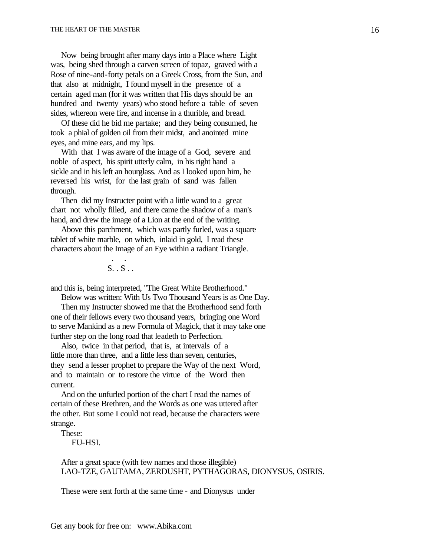Now being brought after many days into a Place where Light was, being shed through a carven screen of topaz, graved with a Rose of nine-and-forty petals on a Greek Cross, from the Sun, and that also at midnight, I found myself in the presence of a certain aged man (for it was written that His days should be an hundred and twenty years) who stood before a table of seven sides, whereon were fire, and incense in a thurible, and bread.

 Of these did he bid me partake; and they being consumed, he took a phial of golden oil from their midst, and anointed mine eyes, and mine ears, and my lips.

 With that I was aware of the image of a God, severe and noble of aspect, his spirit utterly calm, in his right hand a sickle and in his left an hourglass. And as I looked upon him, he reversed his wrist, for the last grain of sand was fallen through.

 Then did my Instructer point with a little wand to a great chart not wholly filled, and there came the shadow of a man's hand, and drew the image of a Lion at the end of the writing.

 Above this parchment, which was partly furled, was a square tablet of white marble, on which, inlaid in gold, I read these characters about the Image of an Eye within a radiant Triangle.

 . .  $S_{\cdot}$  .  $S_{\cdot}$  .

and this is, being interpreted, "The Great White Brotherhood."

Below was written: With Us Two Thousand Years is as One Day.

 Then my Instructer showed me that the Brotherhood send forth one of their fellows every two thousand years, bringing one Word to serve Mankind as a new Formula of Magick, that it may take one further step on the long road that leadeth to Perfection.

 Also, twice in that period, that is, at intervals of a little more than three, and a little less than seven, centuries, they send a lesser prophet to prepare the Way of the next Word, and to maintain or to restore the virtue of the Word then current.

 And on the unfurled portion of the chart I read the names of certain of these Brethren, and the Words as one was uttered after the other. But some I could not read, because the characters were strange.

These:

FU-HSI.

 After a great space (with few names and those illegible) LAO-TZE, GAUTAMA, ZERDUSHT, PYTHAGORAS, DIONYSUS, OSIRIS.

These were sent forth at the same time - and Dionysus under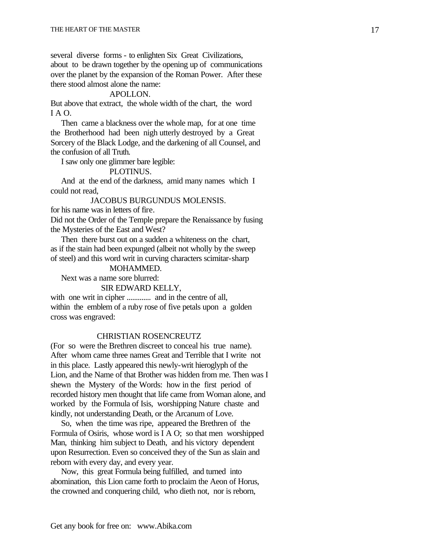several diverse forms - to enlighten Six Great Civilizations, about to be drawn together by the opening up of communications over the planet by the expansion of the Roman Power. After these there stood almost alone the name:

## APOLLON.

But above that extract, the whole width of the chart, the word I A O.

 Then came a blackness over the whole map, for at one time the Brotherhood had been nigh utterly destroyed by a Great Sorcery of the Black Lodge, and the darkening of all Counsel, and the confusion of all Truth.

I saw only one glimmer bare legible:

#### PLOTINUS.

 And at the end of the darkness, amid many names which I could not read,

JACOBUS BURGUNDUS MOLENSIS.

for his name was in letters of fire.

Did not the Order of the Temple prepare the Renaissance by fusing the Mysteries of the East and West?

 Then there burst out on a sudden a whiteness on the chart, as if the stain had been expunged (albeit not wholly by the sweep of steel) and this word writ in curving characters scimitar-sharp

# MOHAMMED.

Next was a name sore blurred:

SIR EDWARD KELLY,

with one writ in cipher ............. and in the centre of all, within the emblem of a ruby rose of five petals upon a golden cross was engraved:

# CHRISTIAN ROSENCREUTZ

(For so were the Brethren discreet to conceal his true name). After whom came three names Great and Terrible that I write not in this place. Lastly appeared this newly-writ hieroglyph of the Lion, and the Name of that Brother was hidden from me. Then was I shewn the Mystery of the Words: how in the first period of recorded history men thought that life came from Woman alone, and worked by the Formula of Isis, worshipping Nature chaste and kindly, not understanding Death, or the Arcanum of Love.

 So, when the time was ripe, appeared the Brethren of the Formula of Osiris, whose word is I A O; so that men worshipped Man, thinking him subject to Death, and his victory dependent upon Resurrection. Even so conceived they of the Sun as slain and reborn with every day, and every year.

 Now, this great Formula being fulfilled, and turned into abomination, this Lion came forth to proclaim the Aeon of Horus, the crowned and conquering child, who dieth not, nor is reborn,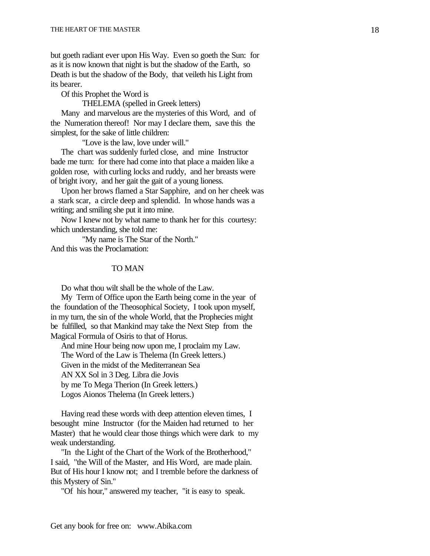but goeth radiant ever upon His Way. Even so goeth the Sun: for as it is now known that night is but the shadow of the Earth, so Death is but the shadow of the Body, that veileth his Light from its bearer.

Of this Prophet the Word is

THELEMA (spelled in Greek letters)

 Many and marvelous are the mysteries of this Word, and of the Numeration thereof! Nor may I declare them, save this the simplest, for the sake of little children:

"Love is the law, love under will."

 The chart was suddenly furled close, and mine Instructor bade me turn: for there had come into that place a maiden like a golden rose, with curling locks and ruddy, and her breasts were of bright ivory, and her gait the gait of a young lioness.

 Upon her brows flamed a Star Sapphire, and on her cheek was a stark scar, a circle deep and splendid. In whose hands was a writing; and smiling she put it into mine.

 Now I knew not by what name to thank her for this courtesy: which understanding, she told me:

 "My name is The Star of the North." And this was the Proclamation:

## TO MAN

Do what thou wilt shall be the whole of the Law.

 My Term of Office upon the Earth being come in the year of the foundation of the Theosophical Society, I took upon myself, in my turn, the sin of the whole World, that the Prophecies might be fulfilled, so that Mankind may take the Next Step from the Magical Formula of Osiris to that of Horus.

 And mine Hour being now upon me, I proclaim my Law. The Word of the Law is Thelema (In Greek letters.) Given in the midst of the Mediterranean Sea AN XX Sol in 3 Deg. Libra die Jovis by me To Mega Therion (In Greek letters.) Logos Aionos Thelema (In Greek letters.)

 Having read these words with deep attention eleven times, I besought mine Instructor (for the Maiden had returned to her Master) that he would clear those things which were dark to my weak understanding.

 "In the Light of the Chart of the Work of the Brotherhood," I said, "the Will of the Master, and His Word, are made plain. But of His hour I know not; and I tremble before the darkness of this Mystery of Sin."

"Of his hour," answered my teacher, "it is easy to speak.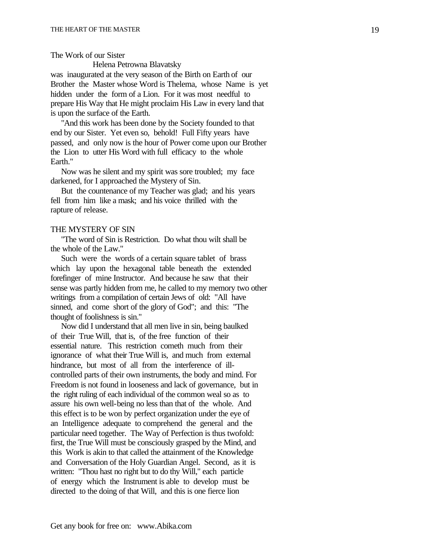## The Work of our Sister

Helena Petrowna Blavatsky

was inaugurated at the very season of the Birth on Earth of our Brother the Master whose Word is Thelema, whose Name is yet hidden under the form of a Lion. For it was most needful to prepare His Way that He might proclaim His Law in every land that is upon the surface of the Earth.

 "And this work has been done by the Society founded to that end by our Sister. Yet even so, behold! Full Fifty years have passed, and only now is the hour of Power come upon our Brother the Lion to utter His Word with full efficacy to the whole Earth."

 Now was he silent and my spirit was sore troubled; my face darkened, for I approached the Mystery of Sin.

 But the countenance of my Teacher was glad; and his years fell from him like a mask; and his voice thrilled with the rapture of release.

## THE MYSTERY OF SIN

 "The word of Sin is Restriction. Do what thou wilt shall be the whole of the Law."

 Such were the words of a certain square tablet of brass which lay upon the hexagonal table beneath the extended forefinger of mine Instructor. And because he saw that their sense was partly hidden from me, he called to my memory two other writings from a compilation of certain Jews of old: "All have sinned, and come short of the glory of God"; and this: "The thought of foolishness is sin."

 Now did I understand that all men live in sin, being baulked of their True Will, that is, of the free function of their essential nature. This restriction cometh much from their ignorance of what their True Will is, and much from external hindrance, but most of all from the interference of illcontrolled parts of their own instruments, the body and mind. For Freedom is not found in looseness and lack of governance, but in the right ruling of each individual of the common weal so as to assure his own well-being no less than that of the whole. And this effect is to be won by perfect organization under the eye of an Intelligence adequate to comprehend the general and the particular need together. The Way of Perfection is thus twofold: first, the True Will must be consciously grasped by the Mind, and this Work is akin to that called the attainment of the Knowledge and Conversation of the Holy Guardian Angel. Second, as it is written: "Thou hast no right but to do thy Will," each particle of energy which the Instrument is able to develop must be directed to the doing of that Will, and this is one fierce lion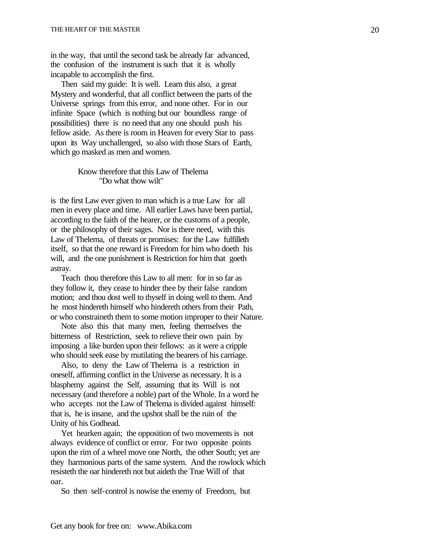in the way, that until the second task be already far advanced, the confusion of the instrument is such that it is wholly incapable to accomplish the first.

 Then said my guide: It is well. Learn this also, a great Mystery and wonderful, that all conflict between the parts of the Universe springs from this error, and none other. For in our infinite Space (which is nothing but our boundless range of possibilities) there is no need that any one should push his fellow aside. As there is room in Heaven for every Star to pass upon its Way unchallenged, so also with those Stars of Earth, which go masked as men and women.

# Know therefore that this Law of Thelema "Do what thow wilt"

is the first Law ever given to man which is a true Law for all men in every place and time. All earlier Laws have been partial, according to the faith of the hearer, or the customs of a people, or the philosophy of their sages. Nor is there need, with this Law of Thelema, of threats or promises: for the Law fulfilleth itself, so that the one reward is Freedom for him who doeth his will, and the one punishment is Restriction for him that goeth astray.

 Teach thou therefore this Law to all men: for in so far as they follow it, they cease to hinder thee by their false random motion; and thou dost well to thyself in doing well to them. And he most hindereth himself who hindereth others from their Path, or who constraineth them to some motion improper to their Nature.

 Note also this that many men, feeling themselves the bitterness of Restriction, seek to relieve their own pain by imposing a like burden upon their fellows: as it were a cripple who should seek ease by mutilating the bearers of his carriage.

 Also, to deny the Law of Thelema is a restriction in oneself, affirming conflict in the Universe as necessary. It is a blasphemy against the Self, assuming that its Will is not necessary (and therefore a noble) part of the Whole. In a word he who accepts not the Law of Thelema is divided against himself: that is, he is insane, and the upshot shall be the ruin of the Unity of his Godhead.

 Yet hearken again; the opposition of two movements is not always evidence of conflict or error. For two opposite points upon the rim of a wheel move one North, the other South; yet are they harmonious parts of the same system. And the rowlock which resisteth the oar hindereth not but aideth the True Will of that oar.

So then self-control is nowise the enemy of Freedom, but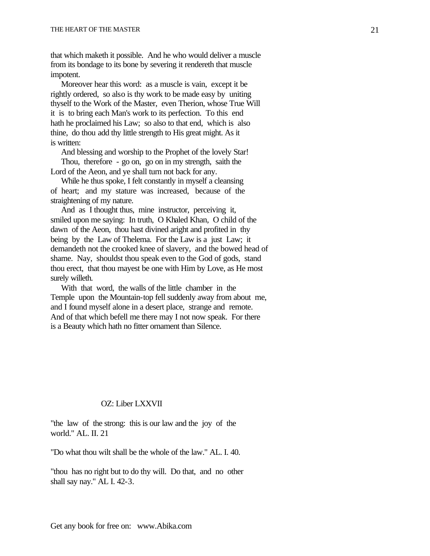that which maketh it possible. And he who would deliver a muscle from its bondage to its bone by severing it rendereth that muscle impotent.

 Moreover hear this word: as a muscle is vain, except it be rightly ordered, so also is thy work to be made easy by uniting thyself to the Work of the Master, even Therion, whose True Will it is to bring each Man's work to its perfection. To this end hath he proclaimed his Law; so also to that end, which is also thine, do thou add thy little strength to His great might. As it is written:

 And blessing and worship to the Prophet of the lovely Star! Thou, therefore - go on, go on in my strength, saith the

Lord of the Aeon, and ye shall turn not back for any. While he thus spoke, I felt constantly in myself a cleansing

of heart; and my stature was increased, because of the straightening of my nature.

 And as I thought thus, mine instructor, perceiving it, smiled upon me saying: In truth, O Khaled Khan, O child of the dawn of the Aeon, thou hast divined aright and profited in thy being by the Law of Thelema. For the Law is a just Law; it demandeth not the crooked knee of slavery, and the bowed head of shame. Nay, shouldst thou speak even to the God of gods, stand thou erect, that thou mayest be one with Him by Love, as He most surely willeth.

 With that word, the walls of the little chamber in the Temple upon the Mountain-top fell suddenly away from about me, and I found myself alone in a desert place, strange and remote. And of that which befell me there may I not now speak. For there is a Beauty which hath no fitter ornament than Silence.

# OZ: Liber LXXVII

"the law of the strong: this is our law and the joy of the world." AL. II. 21

"Do what thou wilt shall be the whole of the law." AL. I. 40.

"thou has no right but to do thy will. Do that, and no other shall say nay." AL I. 42-3.